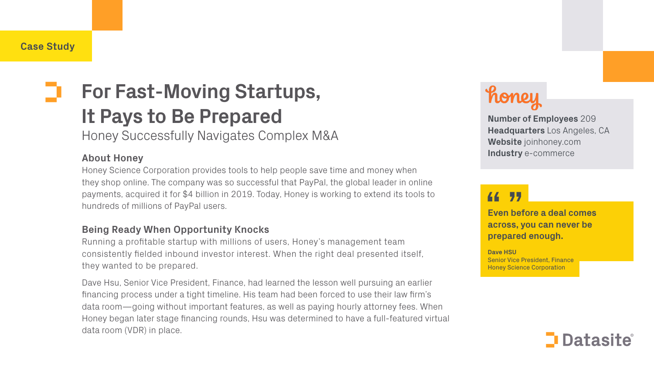# **For Fast-Moving Startups, It Pays to Be Prepared**

Honey Successfully Navigates Complex M&A

### **About Honey**

Honey Science Corporation provides tools to help people save time and money when they shop online. The company was so successful that PayPal, the global leader in online payments, acquired it for \$4 billion in 2019. Today, Honey is working to extend its tools to hundreds of millions of PayPal users.

### **Being Ready When Opportunity Knocks**

Running a profitable startup with millions of users, Honey's management team consistently fielded inbound investor interest. When the right deal presented itself, they wanted to be prepared.

Dave Hsu, Senior Vice President, Finance, had learned the lesson well pursuing an earlier financing process under a tight timeline. His team had been forced to use their law firm's data room—going without important features, as well as paying hourly attorney fees. When Honey began later stage financing rounds, Hsu was determined to have a full-featured virtual data room (VDR) in place.

44

**Even before a deal comes across, you can never be prepared enough.**

**Dave HSU** 



Senior Vice President, Finance Honey Science Corporation

## **Datasite**

#### **Number of Employees** 209 **Headquarters** Los Angeles, CA **Website** joinhoney.com **Industry** e-commerce

### 77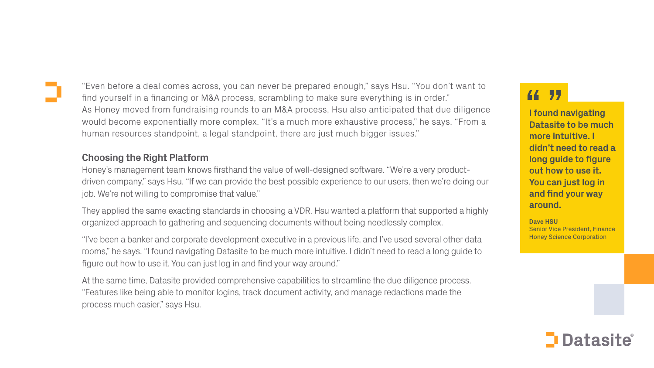### **Choosing the Right Platform**

Honey's management team knows firsthand the value of well-designed software. "We're a very productdriven company," says Hsu. "If we can provide the best possible experience to our users, then we're doing our job. We're not willing to compromise that value."

They applied the same exacting standards in choosing a VDR. Hsu wanted a platform that supported a highly organized approach to gathering and sequencing documents without being needlessly complex.

"I've been a banker and corporate development executive in a previous life, and I've used several other data rooms," he says. "I found navigating Datasite to be much more intuitive. I didn't need to read a long guide to figure out how to use it. You can just log in and find your way around."

At the same time, Datasite provided comprehensive capabilities to streamline the due diligence process. "Features like being able to monitor logins, track document activity, and manage redactions made the process much easier," says Hsu.

#### 77 44

**I found navigating Datasite to be much more intuitive. I didn't need to read a long guide to figure out how to use it. You can just log in and find your way around.**

**Dave HSU**  Senior Vice President, Finance Honey Science Corporation

## **Datasite®**

"Even before a deal comes across, you can never be prepared enough," says Hsu. "You don't want to find yourself in a financing or M&A process, scrambling to make sure everything is in order." As Honey moved from fundraising rounds to an M&A process, Hsu also anticipated that due diligence would become exponentially more complex. "It's a much more exhaustive process," he says. "From a human resources standpoint, a legal standpoint, there are just much bigger issues."